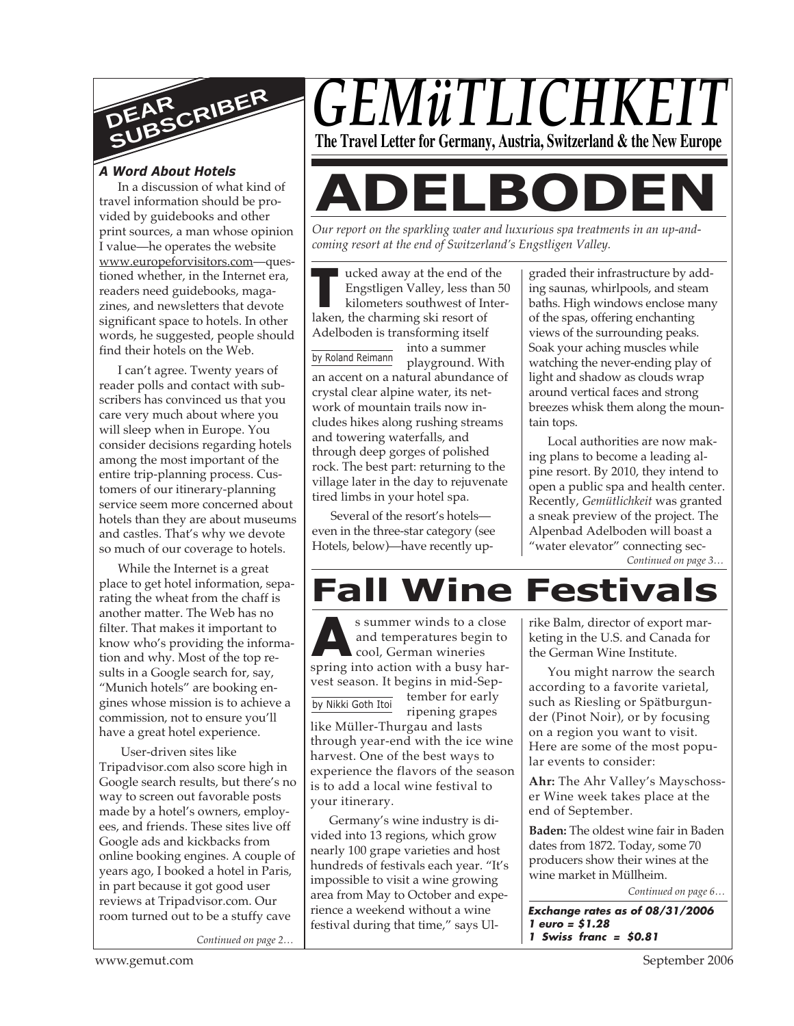

# *A Word About Hotels*

In a discussion of what kind of travel information should be provided by guidebooks and other print sources, a man whose opinion I value—he operates the website www.europeforvisitors.com—questioned whether, in the Internet era, readers need guidebooks, magazines, and newsletters that devote significant space to hotels. In other words, he suggested, people should find their hotels on the Web.

I can't agree. Twenty years of reader polls and contact with subscribers has convinced us that you care very much about where you will sleep when in Europe. You consider decisions regarding hotels among the most important of the entire trip-planning process. Customers of our itinerary-planning service seem more concerned about hotels than they are about museums and castles. That's why we devote so much of our coverage to hotels.

While the Internet is a great place to get hotel information, separating the wheat from the chaff is another matter. The Web has no filter. That makes it important to know who's providing the information and why. Most of the top results in a Google search for, say, "Munich hotels" are booking engines whose mission is to achieve a commission, not to ensure you'll have a great hotel experience.

 User-driven sites like Tripadvisor.com also score high in Google search results, but there's no way to screen out favorable posts made by a hotel's owners, employees, and friends. These sites live off Google ads and kickbacks from online booking engines. A couple of years ago, I booked a hotel in Paris, in part because it got good user reviews at Tripadvisor.com. Our room turned out to be a stuffy cave

*Continued on page 2…*

*GEMüTLICHKI* **The Travel Letter for Germany, Austria, Switzerland & the New Europe**

**ADELBODEN**

*Our report on the sparkling water and luxurious spa treatments in an up-andcoming resort at the end of Switzerland's Engstligen Valley.*

The ucked away at the end of the Engstligen Valley, less that<br>
is kilometers southwest of Ir<br>
laken, the charming ski resort of ucked away at the end of the Engstligen Valley, less than 50 kilometers southwest of Inter-Adelboden is transforming itself

into a summer playground. With an accent on a natural abundance of crystal clear alpine water, its network of mountain trails now includes hikes along rushing streams and towering waterfalls, and through deep gorges of polished rock. The best part: returning to the village later in the day to rejuvenate tired limbs in your hotel spa. by Roland Reimann

Several of the resort's hotels even in the three-star category (see Hotels, below)—have recently upgraded their infrastructure by adding saunas, whirlpools, and steam baths. High windows enclose many of the spas, offering enchanting views of the surrounding peaks. Soak your aching muscles while watching the never-ending play of light and shadow as clouds wrap around vertical faces and strong breezes whisk them along the mountain tops.

Local authorities are now making plans to become a leading alpine resort. By 2010, they intend to open a public spa and health center. Recently, *Gemütlichkeit* was granted a sneak preview of the project. The Alpenbad Adelboden will boast a "water elevator" connecting sec-

*Continued on page 3…*

# **Fall Wine Festivals**

s summer winds to a close<br>and temperatures begin to<br>cool, German wineries<br>spring into action with a busy hars summer winds to a close and temperatures begin to cool, German wineries vest season. It begins in mid-September for early ripening grapes like Müller-Thurgau and lasts through year-end with the ice wine harvest. One of the best ways to experience the flavors of the season is to add a local wine festival to your itinerary. by Nikki Goth Itoi

Germany's wine industry is divided into 13 regions, which grow nearly 100 grape varieties and host hundreds of festivals each year. "It's impossible to visit a wine growing area from May to October and experience a weekend without a wine festival during that time," says Ulrike Balm, director of export marketing in the U.S. and Canada for the German Wine Institute.

You might narrow the search according to a favorite varietal, such as Riesling or Spätburgunder (Pinot Noir), or by focusing on a region you want to visit. Here are some of the most popular events to consider:

**Ahr:** The Ahr Valley's Mayschosser Wine week takes place at the end of September.

**Baden:** The oldest wine fair in Baden dates from 1872. Today, some 70 producers show their wines at the wine market in Müllheim.

*Continued on page 6…*

**Exchange rates as of 08/31/2006 1 euro = \$1.28 1 Swiss franc = \$0.81**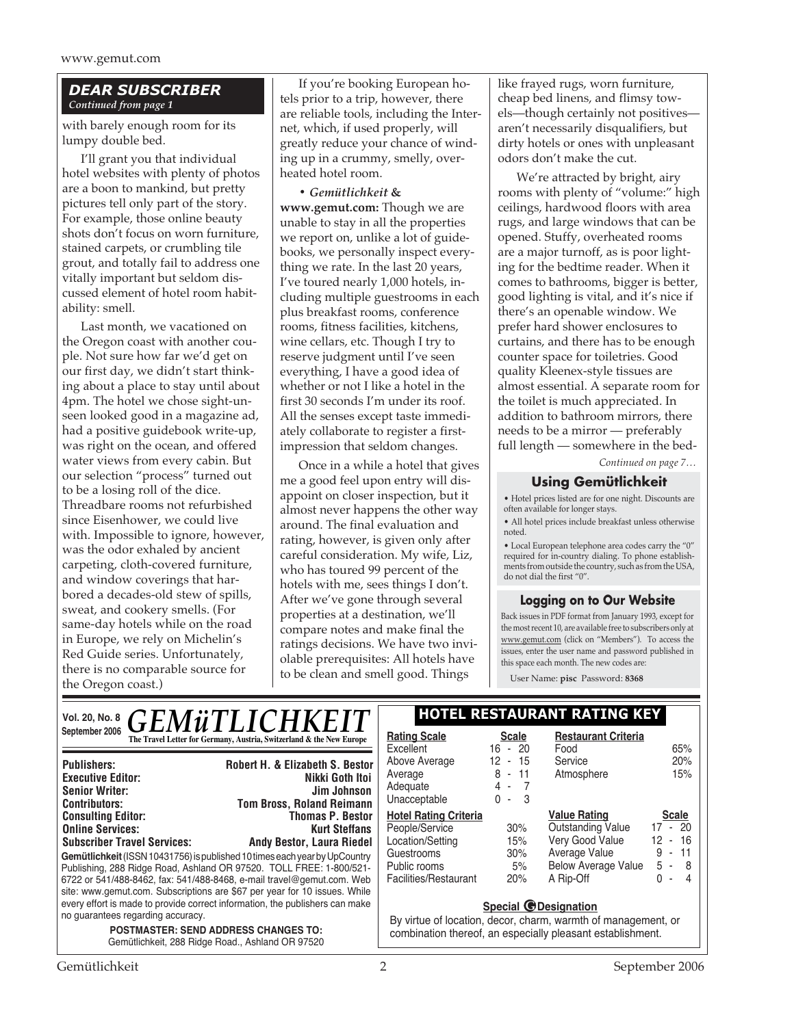### *DEAR SUBSCRIBER Continued from page 1*

with barely enough room for its lumpy double bed.

I'll grant you that individual hotel websites with plenty of photos are a boon to mankind, but pretty pictures tell only part of the story. For example, those online beauty shots don't focus on worn furniture, stained carpets, or crumbling tile grout, and totally fail to address one vitally important but seldom discussed element of hotel room habitability: smell.

Last month, we vacationed on the Oregon coast with another couple. Not sure how far we'd get on our first day, we didn't start thinking about a place to stay until about 4pm. The hotel we chose sight-unseen looked good in a magazine ad, had a positive guidebook write-up, was right on the ocean, and offered water views from every cabin. But our selection "process" turned out to be a losing roll of the dice. Threadbare rooms not refurbished since Eisenhower, we could live with. Impossible to ignore, however, was the odor exhaled by ancient carpeting, cloth-covered furniture, and window coverings that harbored a decades-old stew of spills, sweat, and cookery smells. (For same-day hotels while on the road in Europe, we rely on Michelin's Red Guide series. Unfortunately, there is no comparable source for the Oregon coast.)

If you're booking European hotels prior to a trip, however, there are reliable tools, including the Internet, which, if used properly, will greatly reduce your chance of winding up in a crummy, smelly, overheated hotel room.

**•** *Gemütlichkeit* **& www.gemut.com:** Though we are unable to stay in all the properties we report on, unlike a lot of guidebooks, we personally inspect everything we rate. In the last 20 years, I've toured nearly 1,000 hotels, including multiple guestrooms in each plus breakfast rooms, conference rooms, fitness facilities, kitchens, wine cellars, etc. Though I try to reserve judgment until I've seen everything, I have a good idea of whether or not I like a hotel in the first 30 seconds I'm under its roof. All the senses except taste immediately collaborate to register a firstimpression that seldom changes.

Once in a while a hotel that gives me a good feel upon entry will disappoint on closer inspection, but it almost never happens the other way around. The final evaluation and rating, however, is given only after careful consideration. My wife, Liz, who has toured 99 percent of the hotels with me, sees things I don't. After we've gone through several properties at a destination, we'll compare notes and make final the ratings decisions. We have two inviolable prerequisites: All hotels have to be clean and smell good. Things

like frayed rugs, worn furniture, cheap bed linens, and flimsy towels—though certainly not positives aren't necessarily disqualifiers, but dirty hotels or ones with unpleasant odors don't make the cut.

We're attracted by bright, airy rooms with plenty of "volume:" high ceilings, hardwood floors with area rugs, and large windows that can be opened. Stuffy, overheated rooms are a major turnoff, as is poor lighting for the bedtime reader. When it comes to bathrooms, bigger is better, good lighting is vital, and it's nice if there's an openable window. We prefer hard shower enclosures to curtains, and there has to be enough counter space for toiletries. Good quality Kleenex-style tissues are almost essential. A separate room for the toilet is much appreciated. In addition to bathroom mirrors, there needs to be a mirror — preferably full length — somewhere in the bed-

*Continued on page 7…*

### **Using Gemütlichkeit**

• Hotel prices listed are for one night. Discounts are often available for longer stays.

• All hotel prices include breakfast unless otherwise noted.

• Local European telephone area codes carry the "0" required for in-country dialing. To phone establishments from outside the country, such as from the USA, do not dial the first "0".

### **Logging on to Our Website**

Back issues in PDF format from January 1993, except for the most recent 10, are available free to subscribers only at www.gemut.com (click on "Members"). To access the issues, enter the user name and password published in this space each month. The new codes are:

User Name: **pisc** Password: **8368**

| <i><b>GEMüTLICHKEIT</b></i><br>Vol. 20, No. 8                                                                                                                                                                                                                                                                                                                                                                                                                                                                                                                                                                                                           | <b>HOTEL RESTAURANT RATING KEY</b>                                                                                                                                                           |                                                                                                                                                  |                                                                                                                                                                                  |                                                                                                               |
|---------------------------------------------------------------------------------------------------------------------------------------------------------------------------------------------------------------------------------------------------------------------------------------------------------------------------------------------------------------------------------------------------------------------------------------------------------------------------------------------------------------------------------------------------------------------------------------------------------------------------------------------------------|----------------------------------------------------------------------------------------------------------------------------------------------------------------------------------------------|--------------------------------------------------------------------------------------------------------------------------------------------------|----------------------------------------------------------------------------------------------------------------------------------------------------------------------------------|---------------------------------------------------------------------------------------------------------------|
| September 2006<br>The Travel Letter for Germany, Austria, Switzerland & the New Europe<br><b>Robert H. &amp; Elizabeth S. Bestor</b><br><b>Publishers:</b><br>Nikki Goth Itoi<br><b>Executive Editor:</b><br><b>Senior Writer:</b><br>Jim Johnson<br><b>Tom Bross, Roland Reimann</b><br><b>Contributors:</b><br><b>Consulting Editor:</b><br><b>Thomas P. Bestor</b><br><b>Online Services:</b><br><b>Kurt Steffans</b><br><b>Subscriber Travel Services:</b><br><b>Andy Bestor, Laura Riedel</b><br>Gemütlichkeit (ISSN 10431756) is published 10 times each year by UpCountry<br>Publishing, 288 Ridge Road, Ashland OR 97520. TOLL FREE: 1-800/521- | <b>Rating Scale</b><br>Excellent<br>Above Average<br>Average<br>Adequate<br>Unacceptable<br><b>Hotel Rating Criteria</b><br>People/Service<br>Location/Setting<br>Guestrooms<br>Public rooms | <b>Scale</b><br>$-20$<br>16<br>12<br>-15<br>$\blacksquare$<br>8<br>-11<br>$\sim$<br>4 -<br>$\overline{7}$<br>- 3<br>0<br>30%<br>15%<br>30%<br>5% | <b>Restaurant Criteria</b><br>Food<br>Service<br>Atmosphere<br><b>Value Rating</b><br><b>Outstanding Value</b><br>Very Good Value<br>Average Value<br><b>Below Average Value</b> | 65%<br>20%<br>15%<br><b>Scale</b><br>17 - 20<br>- 16<br>12<br>11<br>9<br>$\overline{\phantom{a}}$<br>5<br>- 8 |
| 6722 or 541/488-8462, fax: 541/488-8468, e-mail travel@gemut.com. Web<br>site: www.gemut.com. Subscriptions are \$67 per year for 10 issues. While<br>every effort is made to provide correct information, the publishers can make<br>no guarantees regarding accuracy.<br><b>POSTMASTER: SEND ADDRESS CHANGES TO:</b><br>Gemütlichkeit, 288 Ridge Road., Ashland OR 97520                                                                                                                                                                                                                                                                              | Facilities/Restaurant                                                                                                                                                                        | 20%<br>Special @Designation                                                                                                                      | A Rip-Off<br>By virtue of location, decor, charm, warmth of management, or<br>combination thereof, an especially pleasant establishment.                                         | $\overline{4}$<br>0<br>$\overline{\phantom{a}}$                                                               |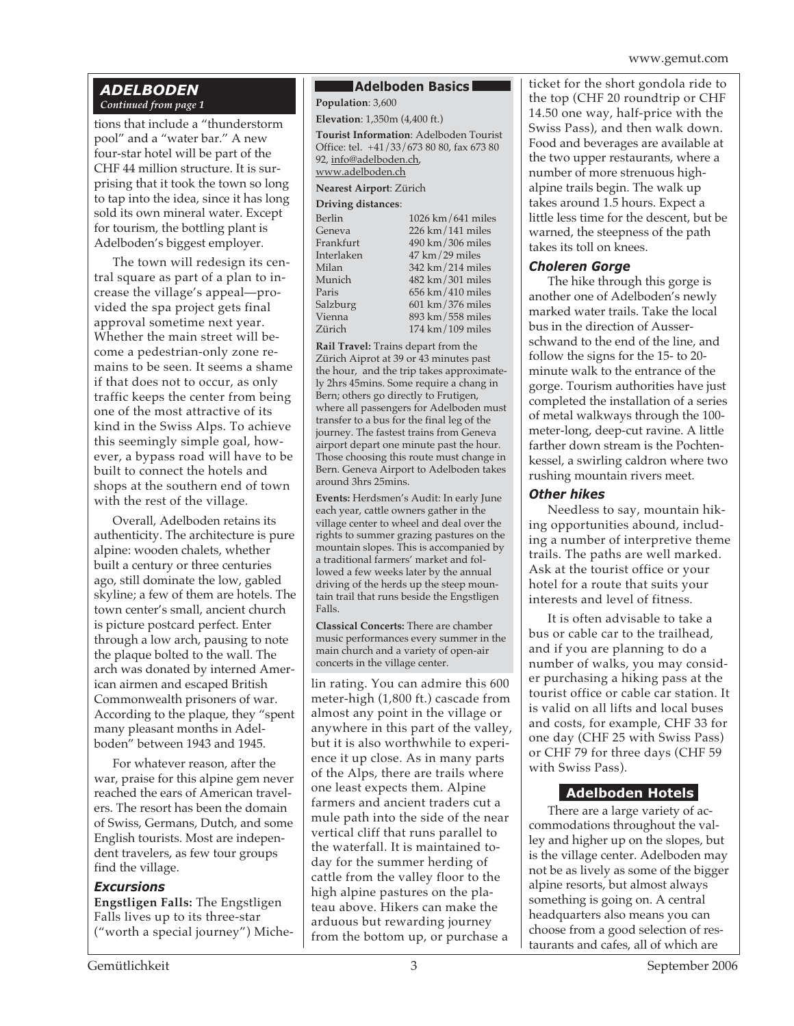### *ADELBODEN Continued from page 1*

tions that include a "thunderstorm pool" and a "water bar." A new four-star hotel will be part of the CHF 44 million structure. It is surprising that it took the town so long to tap into the idea, since it has long sold its own mineral water. Except for tourism, the bottling plant is Adelboden's biggest employer.

The town will redesign its central square as part of a plan to increase the village's appeal—provided the spa project gets final approval sometime next year. Whether the main street will become a pedestrian-only zone remains to be seen. It seems a shame if that does not to occur, as only traffic keeps the center from being one of the most attractive of its kind in the Swiss Alps. To achieve this seemingly simple goal, however, a bypass road will have to be built to connect the hotels and shops at the southern end of town with the rest of the village.

Overall, Adelboden retains its authenticity. The architecture is pure alpine: wooden chalets, whether built a century or three centuries ago, still dominate the low, gabled skyline; a few of them are hotels. The town center's small, ancient church is picture postcard perfect. Enter through a low arch, pausing to note the plaque bolted to the wall. The arch was donated by interned American airmen and escaped British Commonwealth prisoners of war. According to the plaque, they "spent many pleasant months in Adelboden" between 1943 and 1945.

For whatever reason, after the war, praise for this alpine gem never reached the ears of American travelers. The resort has been the domain of Swiss, Germans, Dutch, and some English tourists. Most are independent travelers, as few tour groups find the village.

### *Excursions*

**Engstligen Falls:** The Engstligen Falls lives up to its three-star ("worth a special journey") Miche-

### **Adelboden Basics**

**Population**: 3,600

**Elevation**: 1,350m (4,400 ft.)

**Tourist Information**: Adelboden Tourist Office: tel. +41/33/673 80 80, fax 673 80 92, info@adelboden.ch, www.adelboden.ch

**Nearest Airport**: Zürich

### **Driving distances**:

| Berlin     | $1026 \mathrm{km}/641 \mathrm{miles}$ |
|------------|---------------------------------------|
| Geneva     | $226$ km $/141$ miles                 |
| Frankfurt  | 490 km / 306 miles                    |
| Interlaken | $47 \text{ km} / 29 \text{ miles}$    |
| Milan      | 342 km/214 miles                      |
| Munich     | 482 km / 301 miles                    |
| Paris      | $656$ km $/410$ miles                 |
| Salzburg   | $601 \text{ km} / 376 \text{ miles}$  |
| Vienna     | 893 km/558 miles                      |
| Zürich     | $174 \text{ km} / 109 \text{ miles}$  |
|            |                                       |

**Rail Travel:** Trains depart from the Zürich Aiprot at 39 or 43 minutes past the hour, and the trip takes approximately 2hrs 45mins. Some require a chang in Bern; others go directly to Frutigen, where all passengers for Adelboden must transfer to a bus for the final leg of the journey. The fastest trains from Geneva airport depart one minute past the hour. Those choosing this route must change in Bern. Geneva Airport to Adelboden takes around 3hrs 25mins.

**Events:** Herdsmen's Audit: In early June each year, cattle owners gather in the village center to wheel and deal over the rights to summer grazing pastures on the mountain slopes. This is accompanied by a traditional farmers' market and followed a few weeks later by the annual driving of the herds up the steep mountain trail that runs beside the Engstligen Falls.

**Classical Concerts:** There are chamber music performances every summer in the main church and a variety of open-air concerts in the village center.

lin rating. You can admire this 600 meter-high (1,800 ft.) cascade from almost any point in the village or anywhere in this part of the valley, but it is also worthwhile to experience it up close. As in many parts of the Alps, there are trails where one least expects them. Alpine farmers and ancient traders cut a mule path into the side of the near vertical cliff that runs parallel to the waterfall. It is maintained today for the summer herding of cattle from the valley floor to the high alpine pastures on the plateau above. Hikers can make the arduous but rewarding journey from the bottom up, or purchase a

ticket for the short gondola ride to the top (CHF 20 roundtrip or CHF 14.50 one way, half-price with the Swiss Pass), and then walk down. Food and beverages are available at the two upper restaurants, where a number of more strenuous highalpine trails begin. The walk up takes around 1.5 hours. Expect a little less time for the descent, but be warned, the steepness of the path takes its toll on knees.

### *Choleren Gorge*

The hike through this gorge is another one of Adelboden's newly marked water trails. Take the local bus in the direction of Ausserschwand to the end of the line, and follow the signs for the 15- to 20 minute walk to the entrance of the gorge. Tourism authorities have just completed the installation of a series of metal walkways through the 100 meter-long, deep-cut ravine. A little farther down stream is the Pochtenkessel, a swirling caldron where two rushing mountain rivers meet.

### *Other hikes*

Needless to say, mountain hiking opportunities abound, including a number of interpretive theme trails. The paths are well marked. Ask at the tourist office or your hotel for a route that suits your interests and level of fitness.

It is often advisable to take a bus or cable car to the trailhead, and if you are planning to do a number of walks, you may consider purchasing a hiking pass at the tourist office or cable car station. It is valid on all lifts and local buses and costs, for example, CHF 33 for one day (CHF 25 with Swiss Pass) or CHF 79 for three days (CHF 59 with Swiss Pass).

# **Adelboden Hotels**

There are a large variety of accommodations throughout the valley and higher up on the slopes, but is the village center. Adelboden may not be as lively as some of the bigger alpine resorts, but almost always something is going on. A central headquarters also means you can choose from a good selection of restaurants and cafes, all of which are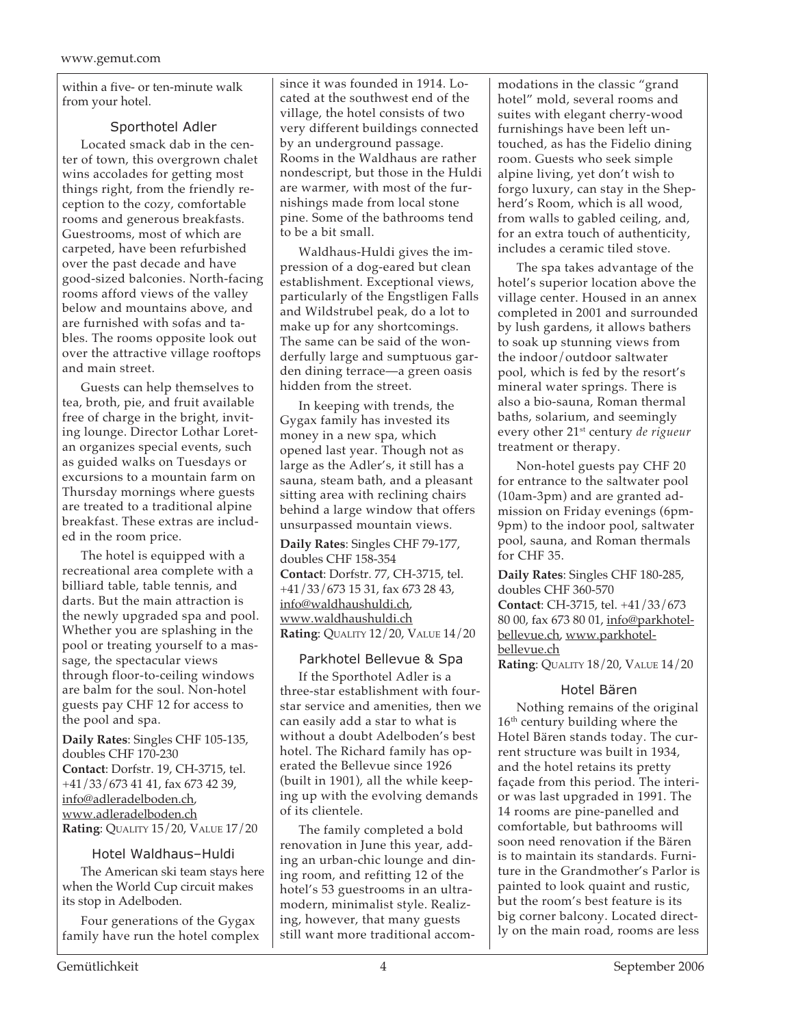within a five- or ten-minute walk from your hotel.

### Sporthotel Adler

Located smack dab in the center of town, this overgrown chalet wins accolades for getting most things right, from the friendly reception to the cozy, comfortable rooms and generous breakfasts. Guestrooms, most of which are carpeted, have been refurbished over the past decade and have good-sized balconies. North-facing rooms afford views of the valley below and mountains above, and are furnished with sofas and tables. The rooms opposite look out over the attractive village rooftops and main street.

Guests can help themselves to tea, broth, pie, and fruit available free of charge in the bright, inviting lounge. Director Lothar Loretan organizes special events, such as guided walks on Tuesdays or excursions to a mountain farm on Thursday mornings where guests are treated to a traditional alpine breakfast. These extras are included in the room price.

The hotel is equipped with a recreational area complete with a billiard table, table tennis, and darts. But the main attraction is the newly upgraded spa and pool. Whether you are splashing in the pool or treating yourself to a massage, the spectacular views through floor-to-ceiling windows are balm for the soul. Non-hotel guests pay CHF 12 for access to the pool and spa.

**Daily Rates**: Singles CHF 105-135, doubles CHF 170-230 **Contact**: Dorfstr. 19, CH-3715, tel. +41/33/673 41 41, fax 673 42 39, info@adleradelboden.ch, www.adleradelboden.ch **Rating**: QUALITY 15/20, VALUE 17/20

### Hotel Waldhaus–Huldi

The American ski team stays here when the World Cup circuit makes its stop in Adelboden.

Four generations of the Gygax family have run the hotel complex since it was founded in 1914. Located at the southwest end of the village, the hotel consists of two very different buildings connected by an underground passage. Rooms in the Waldhaus are rather nondescript, but those in the Huldi are warmer, with most of the furnishings made from local stone pine. Some of the bathrooms tend to be a bit small.

Waldhaus-Huldi gives the impression of a dog-eared but clean establishment. Exceptional views, particularly of the Engstligen Falls and Wildstrubel peak, do a lot to make up for any shortcomings. The same can be said of the wonderfully large and sumptuous garden dining terrace—a green oasis hidden from the street.

In keeping with trends, the Gygax family has invested its money in a new spa, which opened last year. Though not as large as the Adler's, it still has a sauna, steam bath, and a pleasant sitting area with reclining chairs behind a large window that offers unsurpassed mountain views.

**Daily Rates**: Singles CHF 79-177, doubles CHF 158-354 **Contact**: Dorfstr. 77, CH-3715, tel. +41/33/673 15 31, fax 673 28 43, info@waldhaushuldi.ch, www.waldhaushuldi.ch **Rating**: QUALITY 12/20, VALUE 14/20

### Parkhotel Bellevue & Spa

If the Sporthotel Adler is a three-star establishment with fourstar service and amenities, then we can easily add a star to what is without a doubt Adelboden's best hotel. The Richard family has operated the Bellevue since 1926 (built in 1901), all the while keeping up with the evolving demands of its clientele.

The family completed a bold renovation in June this year, adding an urban-chic lounge and dining room, and refitting 12 of the hotel's 53 guestrooms in an ultramodern, minimalist style. Realizing, however, that many guests still want more traditional accommodations in the classic "grand hotel" mold, several rooms and suites with elegant cherry-wood furnishings have been left untouched, as has the Fidelio dining room. Guests who seek simple alpine living, yet don't wish to forgo luxury, can stay in the Shepherd's Room, which is all wood, from walls to gabled ceiling, and, for an extra touch of authenticity, includes a ceramic tiled stove.

The spa takes advantage of the hotel's superior location above the village center. Housed in an annex completed in 2001 and surrounded by lush gardens, it allows bathers to soak up stunning views from the indoor/outdoor saltwater pool, which is fed by the resort's mineral water springs. There is also a bio-sauna, Roman thermal baths, solarium, and seemingly every other 21st century *de rigueur* treatment or therapy.

Non-hotel guests pay CHF 20 for entrance to the saltwater pool (10am-3pm) and are granted admission on Friday evenings (6pm-9pm) to the indoor pool, saltwater pool, sauna, and Roman thermals for CHF 35.

**Daily Rates**: Singles CHF 180-285, doubles CHF 360-570 **Contact**: CH-3715, tel. +41/33/673 80 00, fax 673 80 01, info@parkhotelbellevue.ch, www.parkhotelbellevue.ch **Rating**: QUALITY 18/20, VALUE 14/20

# Hotel Bären

Nothing remains of the original 16<sup>th</sup> century building where the Hotel Bären stands today. The current structure was built in 1934, and the hotel retains its pretty façade from this period. The interior was last upgraded in 1991. The 14 rooms are pine-panelled and comfortable, but bathrooms will soon need renovation if the Bären is to maintain its standards. Furniture in the Grandmother's Parlor is painted to look quaint and rustic, but the room's best feature is its big corner balcony. Located directly on the main road, rooms are less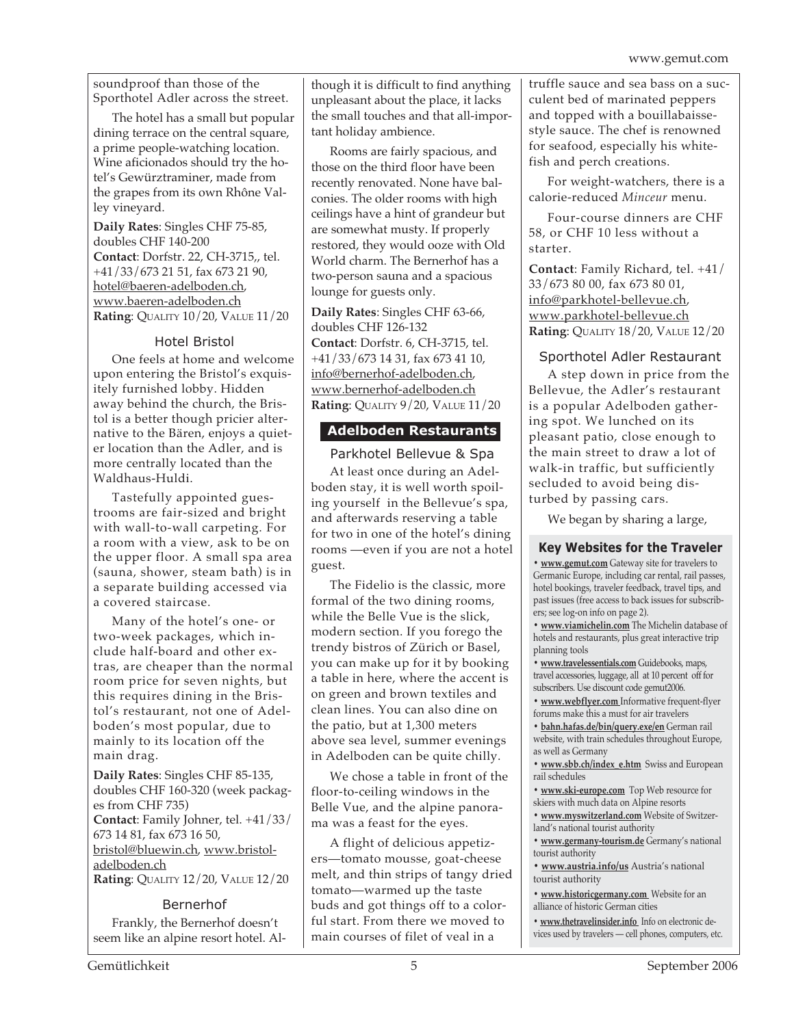soundproof than those of the Sporthotel Adler across the street.

The hotel has a small but popular dining terrace on the central square, a prime people-watching location. Wine aficionados should try the hotel's Gewürztraminer, made from the grapes from its own Rhône Valley vineyard.

**Daily Rates**: Singles CHF 75-85, doubles CHF 140-200 **Contact**: Dorfstr. 22, CH-3715,, tel. +41/33/673 21 51, fax 673 21 90, hotel@baeren-adelboden.ch, www.baeren-adelboden.ch **Rating**: QUALITY 10/20, VALUE 11/20

### Hotel Bristol

One feels at home and welcome upon entering the Bristol's exquisitely furnished lobby. Hidden away behind the church, the Bristol is a better though pricier alternative to the Bären, enjoys a quieter location than the Adler, and is more centrally located than the Waldhaus-Huldi.

Tastefully appointed guestrooms are fair-sized and bright with wall-to-wall carpeting. For a room with a view, ask to be on the upper floor. A small spa area (sauna, shower, steam bath) is in a separate building accessed via a covered staircase.

Many of the hotel's one- or two-week packages, which include half-board and other extras, are cheaper than the normal room price for seven nights, but this requires dining in the Bristol's restaurant, not one of Adelboden's most popular, due to mainly to its location off the main drag.

**Daily Rates**: Singles CHF 85-135, doubles CHF 160-320 (week packages from CHF 735) **Contact**: Family Johner, tel. +41/33/ 673 14 81, fax 673 16 50, bristol@bluewin.ch, www.bristoladelboden.ch **Rating**: QUALITY 12/20, VALUE 12/20

Bernerhof Frankly, the Bernerhof doesn't seem like an alpine resort hotel. Although it is difficult to find anything unpleasant about the place, it lacks the small touches and that all-important holiday ambience.

Rooms are fairly spacious, and those on the third floor have been recently renovated. None have balconies. The older rooms with high ceilings have a hint of grandeur but are somewhat musty. If properly restored, they would ooze with Old World charm. The Bernerhof has a two-person sauna and a spacious lounge for guests only.

**Daily Rates**: Singles CHF 63-66, doubles CHF 126-132 **Contact**: Dorfstr. 6, CH-3715, tel. +41/33/673 14 31, fax 673 41 10, info@bernerhof-adelboden.ch, www.bernerhof-adelboden.ch **Rating**: QUALITY 9/20, VALUE 11/20

# **Adelboden Restaurants**

### Parkhotel Bellevue & Spa

At least once during an Adelboden stay, it is well worth spoiling yourself in the Bellevue's spa, and afterwards reserving a table for two in one of the hotel's dining rooms —even if you are not a hotel guest.

The Fidelio is the classic, more formal of the two dining rooms, while the Belle Vue is the slick, modern section. If you forego the trendy bistros of Zürich or Basel, you can make up for it by booking a table in here, where the accent is on green and brown textiles and clean lines. You can also dine on the patio, but at 1,300 meters above sea level, summer evenings in Adelboden can be quite chilly.

We chose a table in front of the floor-to-ceiling windows in the Belle Vue, and the alpine panorama was a feast for the eyes.

A flight of delicious appetizers—tomato mousse, goat-cheese melt, and thin strips of tangy dried tomato—warmed up the taste buds and got things off to a colorful start. From there we moved to main courses of filet of veal in a

truffle sauce and sea bass on a succulent bed of marinated peppers and topped with a bouillabaissestyle sauce. The chef is renowned for seafood, especially his whitefish and perch creations.

For weight-watchers, there is a calorie-reduced *Minceur* menu.

Four-course dinners are CHF 58, or CHF 10 less without a starter.

**Contact**: Family Richard, tel. +41/ 33/673 80 00, fax 673 80 01, info@parkhotel-bellevue.ch, www.parkhotel-bellevue.ch **Rating**: QUALITY 18/20, VALUE 12/20

# Sporthotel Adler Restaurant

A step down in price from the Bellevue, the Adler's restaurant is a popular Adelboden gathering spot. We lunched on its pleasant patio, close enough to the main street to draw a lot of walk-in traffic, but sufficiently secluded to avoid being disturbed by passing cars.

We began by sharing a large,

# **Key Websites for the Traveler**

**• www.gemut.com** Gateway site for travelers to Germanic Europe, including car rental, rail passes, hotel bookings, traveler feedback, travel tips, and past issues (free access to back issues for subscribers; see log-on info on page 2).

**• www.viamichelin.com** The Michelin database of hotels and restaurants, plus great interactive trip planning tools

**• www.travelessentials.com** Guidebooks, maps, travel accessories, luggage, all at 10 percent off for subscribers. Use discount code gemut2006.

**• www.webflyer.com** Informative frequent-flyer forums make this a must for air travelers

**• bahn.hafas.de/bin/query.exe/en** German rail website, with train schedules throughout Europe, as well as Germany

**• www.sbb.ch/index\_e.htm** Swiss and European rail schedules

**• www.ski-europe.com** Top Web resource for skiers with much data on Alpine resorts

**• www.myswitzerland.com** Website of Switzerland's national tourist authority

**• www.germany-tourism.de** Germany's national tourist authority

**• www.austria.info/us** Austria's national tourist authority

**• www.historicgermany.com** Website for an alliance of historic German cities

**• www.thetravelinsider.info** Info on electronic devices used by travelers — cell phones, computers, etc.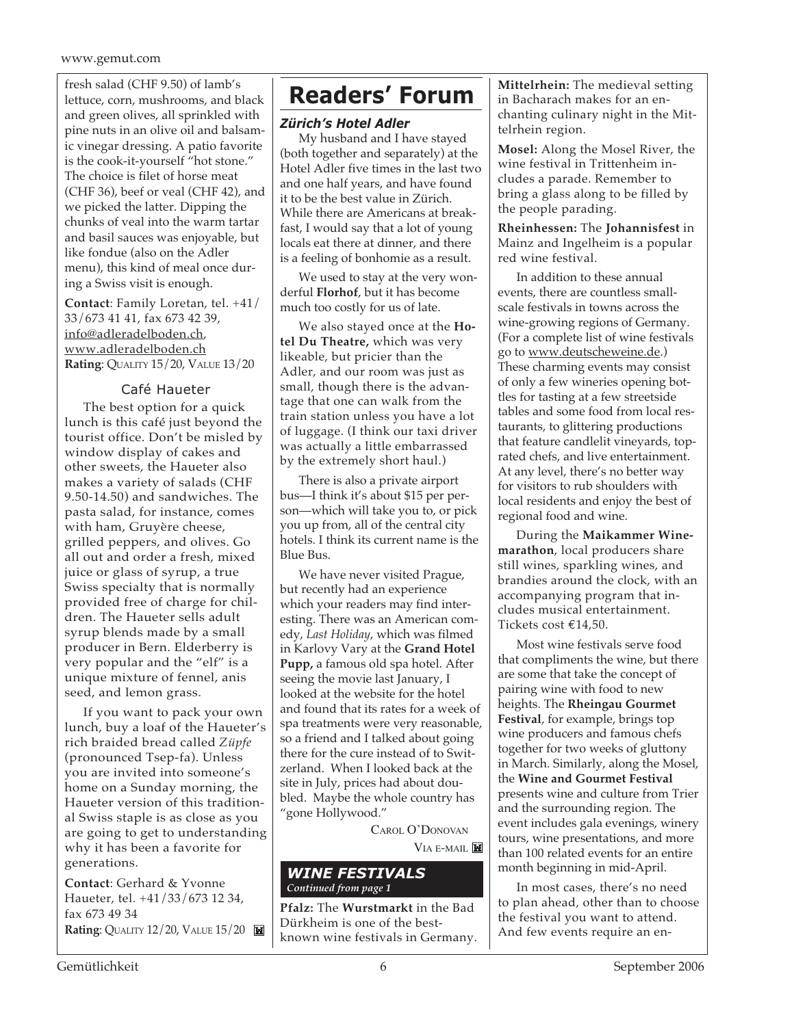### www.gemut.com

fresh salad (CHF 9.50) of lamb's<br>lettuce corp mushrooms and black **Readers' Forum** lettuce, corn, mushrooms, and black and green olives, all sprinkled with pine nuts in an olive oil and balsamic vinegar dressing. A patio favorite is the cook-it-yourself "hot stone." The choice is filet of horse meat (CHF 36), beef or veal (CHF 42), and we picked the latter. Dipping the chunks of veal into the warm tartar and basil sauces was enjoyable, but like fondue (also on the Adler menu), this kind of meal once during a Swiss visit is enough.

**Contact**: Family Loretan, tel. +41/ 33/673 41 41, fax 673 42 39, info@adleradelboden.ch, www.adleradelboden.ch **Rating**: QUALITY 15/20, VALUE 13/20

### Café Haueter

The best option for a quick lunch is this café just beyond the tourist office. Don't be misled by window display of cakes and other sweets, the Haueter also makes a variety of salads (CHF 9.50-14.50) and sandwiches. The pasta salad, for instance, comes with ham, Gruyère cheese, grilled peppers, and olives. Go all out and order a fresh, mixed juice or glass of syrup, a true Swiss specialty that is normally provided free of charge for children. The Haueter sells adult syrup blends made by a small producer in Bern. Elderberry is very popular and the "elf" is a unique mixture of fennel, anis seed, and lemon grass.

If you want to pack your own lunch, buy a loaf of the Haueter's rich braided bread called *Züpfe* (pronounced Tsep-fa). Unless you are invited into someone's home on a Sunday morning, the Haueter version of this traditional Swiss staple is as close as you are going to get to understanding why it has been a favorite for generations.

**Contact**: Gerhard & Yvonne Haueter, tel. +41/33/673 12 34, fax 673 49 34 **Rating: QUALITY 12/20, VALUE 15/20** 

### *Zürich's Hotel Adler*

My husband and I have stayed (both together and separately) at the Hotel Adler five times in the last two and one half years, and have found it to be the best value in Zürich. While there are Americans at breakfast, I would say that a lot of young locals eat there at dinner, and there is a feeling of bonhomie as a result.

We used to stay at the very wonderful **Florhof**, but it has become much too costly for us of late.

We also stayed once at the **Hotel Du Theatre,** which was very likeable, but pricier than the Adler, and our room was just as small, though there is the advantage that one can walk from the train station unless you have a lot of luggage. (I think our taxi driver was actually a little embarrassed by the extremely short haul.)

There is also a private airport bus—I think it's about \$15 per person—which will take you to, or pick you up from, all of the central city hotels. I think its current name is the Blue Bus.

We have never visited Prague, but recently had an experience which your readers may find interesting. There was an American comedy, *Last Holiday*, which was filmed in Karlovy Vary at the **Grand Hotel Pupp,** a famous old spa hotel. After seeing the movie last January, I looked at the website for the hotel and found that its rates for a week of spa treatments were very reasonable, so a friend and I talked about going there for the cure instead of to Switzerland. When I looked back at the site in July, prices had about doubled. Maybe the whole country has "gone Hollywood."

CAROL O'DONOVAN

VIA E-MAIL

### *WINE FESTIVALS Continued from page 1*

**Pfalz:** The **Wurstmarkt** in the Bad Dürkheim is one of the bestknown wine festivals in Germany. **Mittelrhein:** The medieval setting in Bacharach makes for an enchanting culinary night in the Mittelrhein region.

**Mosel:** Along the Mosel River, the wine festival in Trittenheim includes a parade. Remember to bring a glass along to be filled by the people parading.

**Rheinhessen:** The **Johannisfest** in Mainz and Ingelheim is a popular red wine festival.

In addition to these annual events, there are countless smallscale festivals in towns across the wine-growing regions of Germany. (For a complete list of wine festivals go to www.deutscheweine.de.) These charming events may consist of only a few wineries opening bottles for tasting at a few streetside tables and some food from local restaurants, to glittering productions that feature candlelit vineyards, toprated chefs, and live entertainment. At any level, there's no better way for visitors to rub shoulders with local residents and enjoy the best of regional food and wine.

During the **Maikammer Winemarathon**, local producers share still wines, sparkling wines, and brandies around the clock, with an accompanying program that includes musical entertainment. Tickets cost €14,50.

Most wine festivals serve food that compliments the wine, but there are some that take the concept of pairing wine with food to new heights. The **Rheingau Gourmet Festival**, for example, brings top wine producers and famous chefs together for two weeks of gluttony in March. Similarly, along the Mosel, the **Wine and Gourmet Festival** presents wine and culture from Trier and the surrounding region. The event includes gala evenings, winery tours, wine presentations, and more than 100 related events for an entire month beginning in mid-April.

In most cases, there's no need to plan ahead, other than to choose the festival you want to attend. And few events require an en-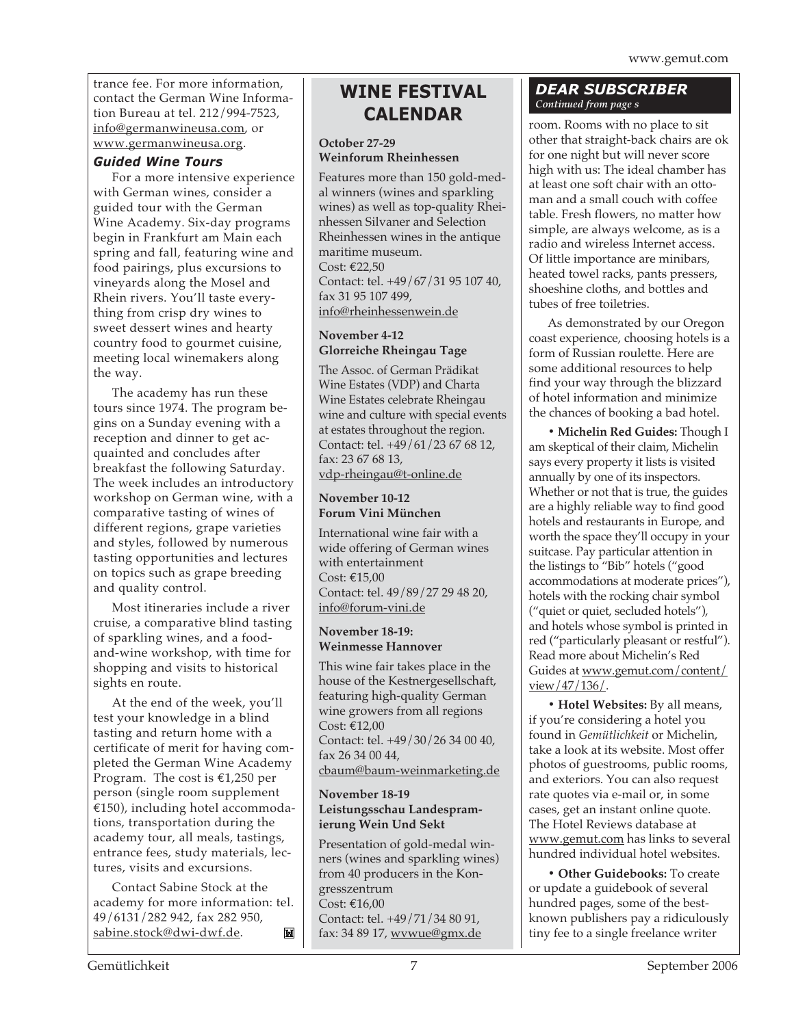trance fee. For more information, contact the German Wine Information Bureau at tel. 212/994-7523, info@germanwineusa.com, or www.germanwineusa.org.

### *Guided Wine Tours*

For a more intensive experience with German wines, consider a guided tour with the German Wine Academy. Six-day programs begin in Frankfurt am Main each spring and fall, featuring wine and food pairings, plus excursions to vineyards along the Mosel and Rhein rivers. You'll taste everything from crisp dry wines to sweet dessert wines and hearty country food to gourmet cuisine, meeting local winemakers along the way.

The academy has run these tours since 1974. The program begins on a Sunday evening with a reception and dinner to get acquainted and concludes after breakfast the following Saturday. The week includes an introductory workshop on German wine, with a comparative tasting of wines of different regions, grape varieties and styles, followed by numerous tasting opportunities and lectures on topics such as grape breeding and quality control.

Most itineraries include a river cruise, a comparative blind tasting of sparkling wines, and a foodand-wine workshop, with time for shopping and visits to historical sights en route.

At the end of the week, you'll test your knowledge in a blind tasting and return home with a certificate of merit for having completed the German Wine Academy Program. The cost is €1,250 per person (single room supplement €150), including hotel accommodations, transportation during the academy tour, all meals, tastings, entrance fees, study materials, lectures, visits and excursions.

Contact Sabine Stock at the academy for more information: tel. 49/6131/282 942, fax 282 950, sabine.stock@dwi-dwf.de. M

# **WINE FESTIVAL CALENDAR**

### **October 27-29 Weinforum Rheinhessen**

Features more than 150 gold-medal winners (wines and sparkling wines) as well as top-quality Rheinhessen Silvaner and Selection Rheinhessen wines in the antique maritime museum. Cost: €22,50 Contact: tel. +49/67/31 95 107 40, fax 31 95 107 499, info@rheinhessenwein.de

### **November 4-12 Glorreiche Rheingau Tage**

The Assoc. of German Prädikat Wine Estates (VDP) and Charta Wine Estates celebrate Rheingau wine and culture with special events at estates throughout the region. Contact: tel. +49/61/23 67 68 12, fax: 23 67 68 13, vdp-rheingau@t-online.de

### **November 10-12 Forum Vini München**

International wine fair with a wide offering of German wines with entertainment Cost: €15,00 Contact: tel. 49/89/27 29 48 20, info@forum-vini.de

### **November 18-19: Weinmesse Hannover**

This wine fair takes place in the house of the Kestnergesellschaft, featuring high-quality German wine growers from all regions Cost: €12,00 Contact: tel. +49/30/26 34 00 40, fax 26 34 00 44, cbaum@baum-weinmarketing.de

### **November 18-19 Leistungsschau Landespramierung Wein Und Sekt**

Presentation of gold-medal winners (wines and sparkling wines) from 40 producers in the Kongresszentrum Cost: €16,00 Contact: tel. +49/71/34 80 91, fax: 34 89 17, wvwue@gmx.de

# *DEAR SUBSCRIBER Continued from page s*

room. Rooms with no place to sit other that straight-back chairs are ok for one night but will never score high with us: The ideal chamber has at least one soft chair with an ottoman and a small couch with coffee table. Fresh flowers, no matter how simple, are always welcome, as is a radio and wireless Internet access. Of little importance are minibars, heated towel racks, pants pressers, shoeshine cloths, and bottles and tubes of free toiletries.

As demonstrated by our Oregon coast experience, choosing hotels is a form of Russian roulette. Here are some additional resources to help find your way through the blizzard of hotel information and minimize the chances of booking a bad hotel.

**• Michelin Red Guides:** Though I am skeptical of their claim, Michelin says every property it lists is visited annually by one of its inspectors. Whether or not that is true, the guides are a highly reliable way to find good hotels and restaurants in Europe, and worth the space they'll occupy in your suitcase. Pay particular attention in the listings to "Bib" hotels ("good accommodations at moderate prices"), hotels with the rocking chair symbol ("quiet or quiet, secluded hotels"), and hotels whose symbol is printed in red ("particularly pleasant or restful"). Read more about Michelin's Red Guides at www.gemut.com/content/ view/47/136/.

**• Hotel Websites:** By all means, if you're considering a hotel you found in *Gemütlichkeit* or Michelin, take a look at its website. Most offer photos of guestrooms, public rooms, and exteriors. You can also request rate quotes via e-mail or, in some cases, get an instant online quote. The Hotel Reviews database at www.gemut.com has links to several hundred individual hotel websites.

**• Other Guidebooks:** To create or update a guidebook of several hundred pages, some of the bestknown publishers pay a ridiculously tiny fee to a single freelance writer